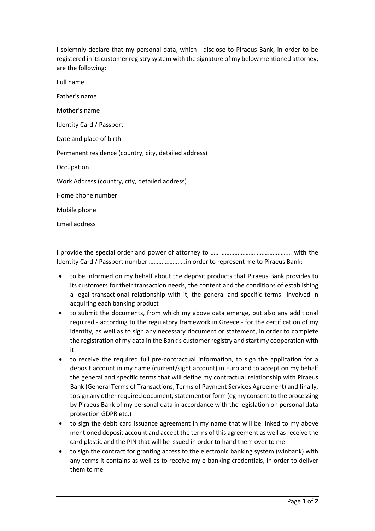I solemnly declare that my personal data, which I disclose to Piraeus Bank, in order to be registered in its customer registry system with the signature of my below mentioned attorney, are the following:

Full name

Father's name

Mother's name

Identity Card / Passport

Date and place of birth

Permanent residence (country, city, detailed address)

**Occupation** 

Work Address (country, city, detailed address)

Home phone number

Mobile phone

Email address

I provide the special order and power of attorney to …………………………………………… with the Identity Card / Passport number …………………..in order to represent me to Piraeus Bank:

- to be informed on my behalf about the deposit products that Piraeus Bank provides to its customers for their transaction needs, the content and the conditions of establishing a legal transactional relationship with it, the general and specific terms involved in acquiring each banking product
- to submit the documents, from which my above data emerge, but also any additional required - according to the regulatory framework in Greece - for the certification of my identity, as well as to sign any necessary document or statement, in order to complete the registration of my data in the Bank's customer registry and start my cooperation with it.
- to receive the required full pre-contractual information, to sign the application for a deposit account in my name (current/sight account) in Euro and to accept on my behalf the general and specific terms that will define my contractual relationship with Piraeus Bank (General Terms of Transactions, Terms of Payment Services Agreement) and finally, to sign any other required document, statement or form (eg my consent to the processing by Piraeus Bank of my personal data in accordance with the legislation on personal data protection GDPR etc.)
- to sign the debit card issuance agreement in my name that will be linked to my above mentioned deposit account and accept the terms of this agreement as well as receive the card plastic and the PIN that will be issued in order to hand them over to me
- to sign the contract for granting access to the electronic banking system (winbank) with any terms it contains as well as to receive my e-banking credentials, in order to deliver them to me